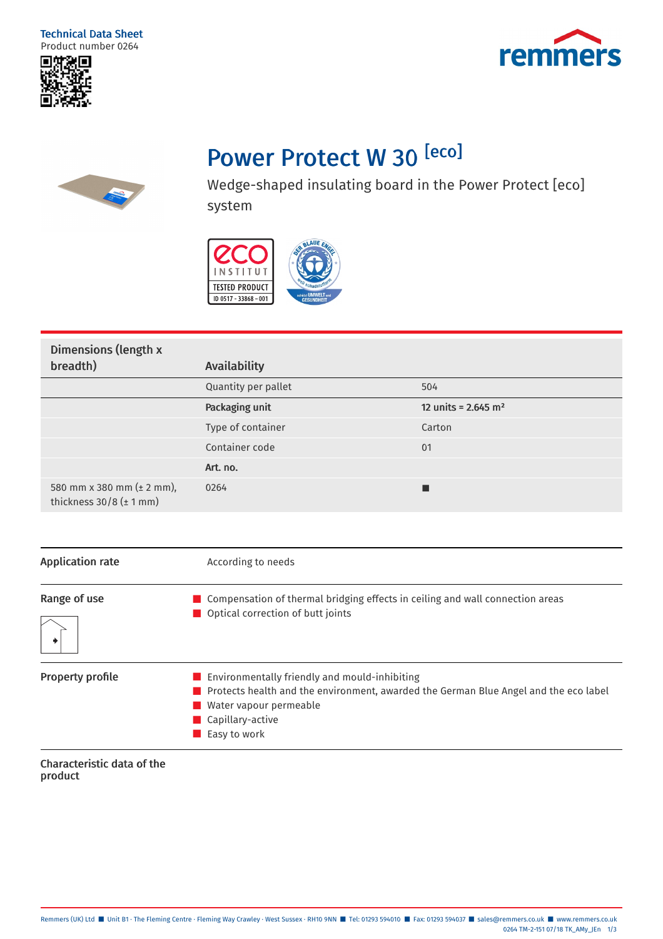## Technical Data Sheet Product number 0264





## Power Protect W 30<sup>[eco]</sup>



Wedge-shaped insulating board in the Power Protect [eco] system



| Dimensions (length x                                        |                     |                                   |
|-------------------------------------------------------------|---------------------|-----------------------------------|
| breadth)                                                    | Availability        |                                   |
|                                                             | Quantity per pallet | 504                               |
|                                                             | Packaging unit      | 12 units = $2.645$ m <sup>2</sup> |
|                                                             | Type of container   | Carton                            |
|                                                             | Container code      | 01                                |
|                                                             | Art. no.            |                                   |
| 580 mm x 380 mm (± 2 mm),<br>thickness $30/8$ ( $\pm$ 1 mm) | 0264                |                                   |

| <b>Application rate</b> | According to needs                                                                                                                                                                                                                |  |
|-------------------------|-----------------------------------------------------------------------------------------------------------------------------------------------------------------------------------------------------------------------------------|--|
| Range of use            | $\blacksquare$ Compensation of thermal bridging effects in ceiling and wall connection areas<br>$\blacksquare$ Optical correction of butt joints                                                                                  |  |
| <b>Property profile</b> | $\blacksquare$ Environmentally friendly and mould-inhibiting<br>$\blacksquare$ Protects health and the environment, awarded the German Blue Angel and the eco label<br>Water vapour permeable<br>Capillary-active<br>Easy to work |  |

Characteristic data of the product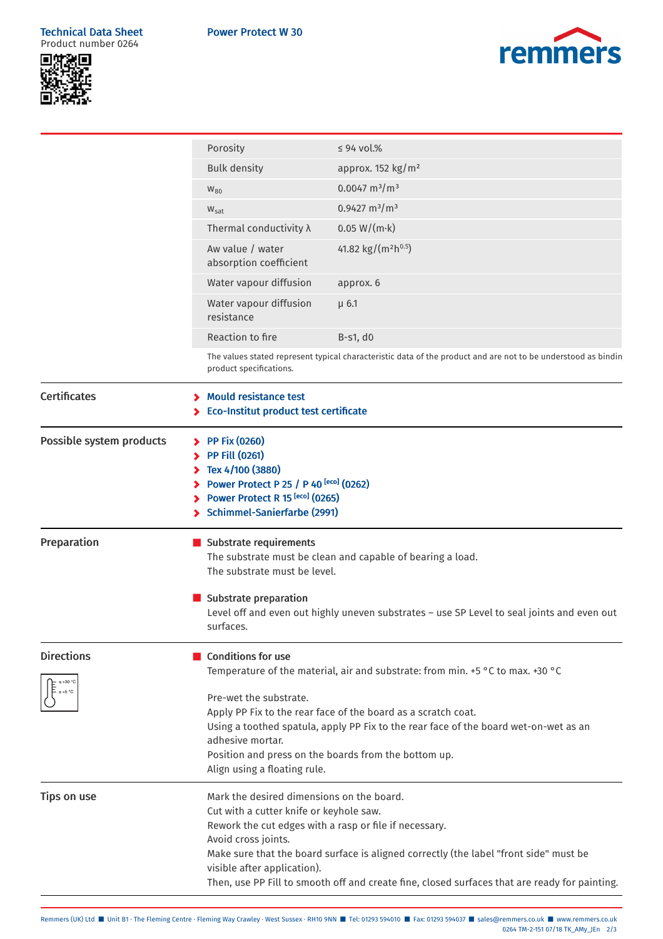## Technical Data Sheet Product number 0264





|                                  | Porosity                                                                                                                                                                                                                                                                                                                                                                                       | $\leq$ 94 vol.%                             |  |
|----------------------------------|------------------------------------------------------------------------------------------------------------------------------------------------------------------------------------------------------------------------------------------------------------------------------------------------------------------------------------------------------------------------------------------------|---------------------------------------------|--|
|                                  | <b>Bulk density</b>                                                                                                                                                                                                                                                                                                                                                                            | approx. $152$ kg/m <sup>2</sup>             |  |
|                                  | $W_{80}$                                                                                                                                                                                                                                                                                                                                                                                       | $0.0047 \text{ m}^3/\text{m}^3$             |  |
|                                  | $W_{\text{sat}}$                                                                                                                                                                                                                                                                                                                                                                               | $0.9427 \text{ m}^3/\text{m}^3$             |  |
|                                  | Thermal conductivity $\lambda$                                                                                                                                                                                                                                                                                                                                                                 | $0.05 W/(m \cdot k)$                        |  |
|                                  | Aw value / water<br>absorption coefficient                                                                                                                                                                                                                                                                                                                                                     | 41.82 kg/(m <sup>2</sup> h <sup>0.5</sup> ) |  |
|                                  | Water vapour diffusion                                                                                                                                                                                                                                                                                                                                                                         | approx. 6                                   |  |
|                                  | Water vapour diffusion<br>resistance                                                                                                                                                                                                                                                                                                                                                           | $\mu$ 6.1                                   |  |
|                                  | Reaction to fire                                                                                                                                                                                                                                                                                                                                                                               | $B-S1, d0$                                  |  |
|                                  | The values stated represent typical characteristic data of the product and are not to be understood as bindin<br>product specifications.                                                                                                                                                                                                                                                       |                                             |  |
| <b>Certificates</b>              | <b>Mould resistance test</b><br>> Eco-Institut product test certificate                                                                                                                                                                                                                                                                                                                        |                                             |  |
| Possible system products         | $\triangleright$ PP Fix (0260)<br><b>PP Fill (0261)</b><br>Tex 4/100 (3880)<br>Power Protect P 25 / P 40 [eco] (0262)<br>> Power Protect R 15 [eco] (0265)<br>> Schimmel-Sanierfarbe (2991)                                                                                                                                                                                                    |                                             |  |
| Preparation                      | Substrate requirements<br>The substrate must be clean and capable of bearing a load.<br>The substrate must be level.                                                                                                                                                                                                                                                                           |                                             |  |
|                                  | Substrate preparation<br>Level off and even out highly uneven substrates - use SP Level to seal joints and even out<br>surfaces.                                                                                                                                                                                                                                                               |                                             |  |
| <b>Directions</b><br>$\ge +5$ °C | <b>Conditions for use</b><br>Temperature of the material, air and substrate: from min. +5 °C to max. +30 °C                                                                                                                                                                                                                                                                                    |                                             |  |
|                                  | Pre-wet the substrate.<br>Apply PP Fix to the rear face of the board as a scratch coat.<br>Using a toothed spatula, apply PP Fix to the rear face of the board wet-on-wet as an<br>adhesive mortar.<br>Position and press on the boards from the bottom up.<br>Align using a floating rule.                                                                                                    |                                             |  |
| <b>Tips on use</b>               | Mark the desired dimensions on the board.<br>Cut with a cutter knife or keyhole saw.<br>Rework the cut edges with a rasp or file if necessary.<br>Avoid cross joints.<br>Make sure that the board surface is aligned correctly (the label "front side" must be<br>visible after application).<br>Then, use PP Fill to smooth off and create fine, closed surfaces that are ready for painting. |                                             |  |